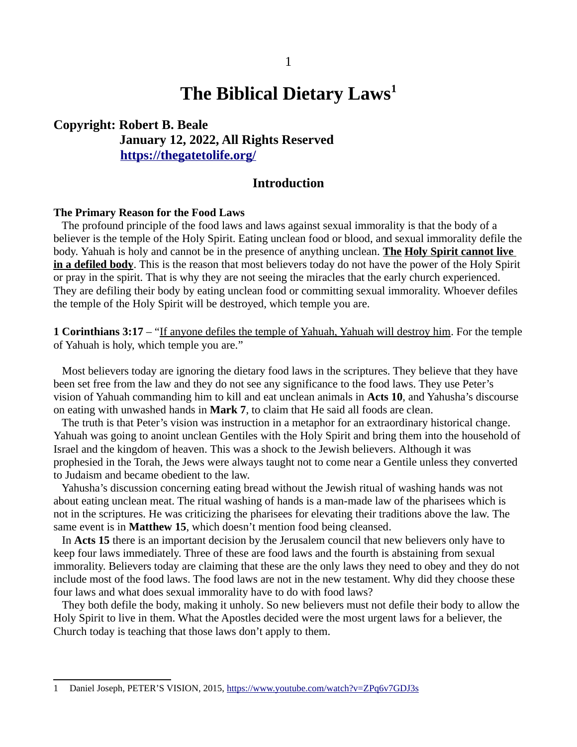# **The Biblical Dietary Laws[1](#page-0-0)**

**Copyright: Robert B. Beale January 12, 2022, All Rights Reserved <https://thegatetolife.org/>**

### **Introduction**

### **The Primary Reason for the Food Laws**

 The profound principle of the food laws and laws against sexual immorality is that the body of a believer is the temple of the Holy Spirit. Eating unclean food or blood, and sexual immorality defile the body. Yahuah is holy and cannot be in the presence of anything unclean. **The Holy Spirit cannot live in a defiled body**. This is the reason that most believers today do not have the power of the Holy Spirit or pray in the spirit. That is why they are not seeing the miracles that the early church experienced. They are defiling their body by eating unclean food or committing sexual immorality. Whoever defiles the temple of the Holy Spirit will be destroyed, which temple you are.

**1 Corinthians 3:17** – "If anyone defiles the temple of Yahuah, Yahuah will destroy him. For the temple of Yahuah is holy, which temple you are."

 Most believers today are ignoring the dietary food laws in the scriptures. They believe that they have been set free from the law and they do not see any significance to the food laws. They use Peter's vision of Yahuah commanding him to kill and eat unclean animals in **Acts 10**, and Yahusha's discourse on eating with unwashed hands in **Mark 7**, to claim that He said all foods are clean.

 The truth is that Peter's vision was instruction in a metaphor for an extraordinary historical change. Yahuah was going to anoint unclean Gentiles with the Holy Spirit and bring them into the household of Israel and the kingdom of heaven. This was a shock to the Jewish believers. Although it was prophesied in the Torah, the Jews were always taught not to come near a Gentile unless they converted to Judaism and became obedient to the law.

 Yahusha's discussion concerning eating bread without the Jewish ritual of washing hands was not about eating unclean meat. The ritual washing of hands is a man-made law of the pharisees which is not in the scriptures. He was criticizing the pharisees for elevating their traditions above the law. The same event is in **Matthew 15**, which doesn't mention food being cleansed.

 In **Acts 15** there is an important decision by the Jerusalem council that new believers only have to keep four laws immediately. Three of these are food laws and the fourth is abstaining from sexual immorality. Believers today are claiming that these are the only laws they need to obey and they do not include most of the food laws. The food laws are not in the new testament. Why did they choose these four laws and what does sexual immorality have to do with food laws?

 They both defile the body, making it unholy. So new believers must not defile their body to allow the Holy Spirit to live in them. What the Apostles decided were the most urgent laws for a believer, the Church today is teaching that those laws don't apply to them.

<span id="page-0-0"></span><sup>1</sup> Daniel Joseph, PETER'S VISION, 2015, <https://www.youtube.com/watch?v=ZPq6v7GDJ3s>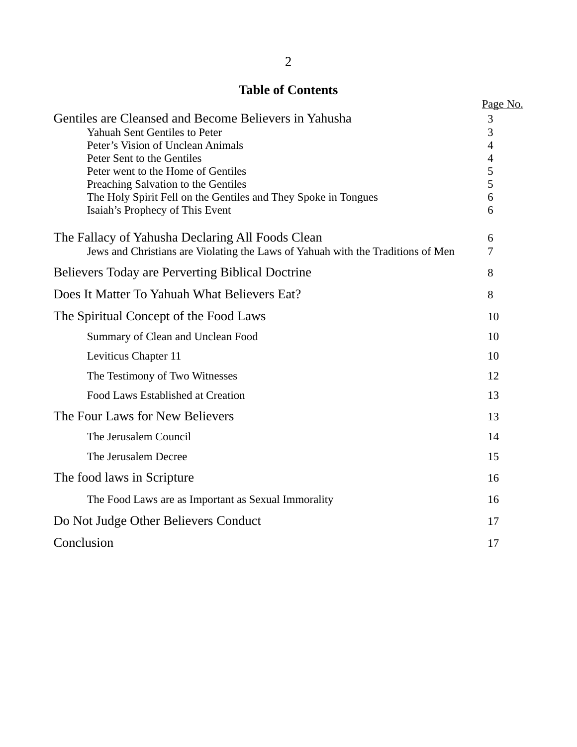# **Table of Contents**

| Tanic ni <i>c</i> onitents                                                      |                     |
|---------------------------------------------------------------------------------|---------------------|
|                                                                                 | Page No.            |
| Gentiles are Cleansed and Become Believers in Yahusha                           | 3                   |
| <b>Yahuah Sent Gentiles to Peter</b><br>Peter's Vision of Unclean Animals       | 3<br>$\overline{4}$ |
| Peter Sent to the Gentiles                                                      | $\overline{4}$      |
| Peter went to the Home of Gentiles                                              | 5                   |
| Preaching Salvation to the Gentiles                                             | 5                   |
| The Holy Spirit Fell on the Gentiles and They Spoke in Tongues                  | 6                   |
| Isaiah's Prophecy of This Event                                                 | 6                   |
| The Fallacy of Yahusha Declaring All Foods Clean                                | 6                   |
| Jews and Christians are Violating the Laws of Yahuah with the Traditions of Men | 7                   |
| <b>Believers Today are Perverting Biblical Doctrine</b>                         | 8                   |
| Does It Matter To Yahuah What Believers Eat?                                    | 8                   |
| The Spiritual Concept of the Food Laws                                          | 10                  |
| Summary of Clean and Unclean Food                                               | 10                  |
| <b>Leviticus Chapter 11</b>                                                     | 10                  |
| The Testimony of Two Witnesses                                                  | 12                  |
| Food Laws Established at Creation                                               | 13                  |
| The Four Laws for New Believers                                                 | 13                  |
| The Jerusalem Council                                                           | 14                  |
| The Jerusalem Decree                                                            | 15                  |
| The food laws in Scripture                                                      | 16                  |
| The Food Laws are as Important as Sexual Immorality                             | 16                  |
| Do Not Judge Other Believers Conduct                                            | 17                  |
| Conclusion                                                                      | 17                  |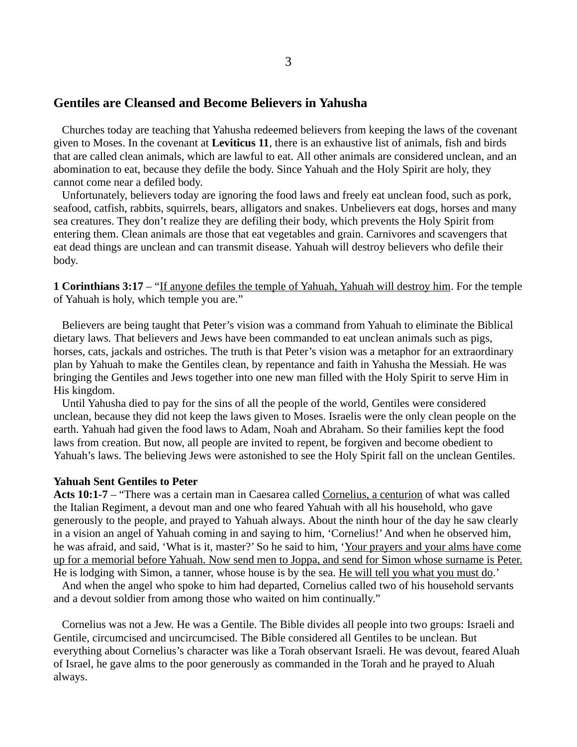### **Gentiles are Cleansed and Become Believers in Yahusha**

 Churches today are teaching that Yahusha redeemed believers from keeping the laws of the covenant given to Moses. In the covenant at **Leviticus 11**, there is an exhaustive list of animals, fish and birds that are called clean animals, which are lawful to eat. All other animals are considered unclean, and an abomination to eat, because they defile the body. Since Yahuah and the Holy Spirit are holy, they cannot come near a defiled body.

 Unfortunately, believers today are ignoring the food laws and freely eat unclean food, such as pork, seafood, catfish, rabbits, squirrels, bears, alligators and snakes. Unbelievers eat dogs, horses and many sea creatures. They don't realize they are defiling their body, which prevents the Holy Spirit from entering them. Clean animals are those that eat vegetables and grain. Carnivores and scavengers that eat dead things are unclean and can transmit disease. Yahuah will destroy believers who defile their body.

**1 Corinthians 3:17** – "If anyone defiles the temple of Yahuah, Yahuah will destroy him. For the temple of Yahuah is holy, which temple you are."

 Believers are being taught that Peter's vision was a command from Yahuah to eliminate the Biblical dietary laws. That believers and Jews have been commanded to eat unclean animals such as pigs, horses, cats, jackals and ostriches. The truth is that Peter's vision was a metaphor for an extraordinary plan by Yahuah to make the Gentiles clean, by repentance and faith in Yahusha the Messiah. He was bringing the Gentiles and Jews together into one new man filled with the Holy Spirit to serve Him in His kingdom.

 Until Yahusha died to pay for the sins of all the people of the world, Gentiles were considered unclean, because they did not keep the laws given to Moses. Israelis were the only clean people on the earth. Yahuah had given the food laws to Adam, Noah and Abraham. So their families kept the food laws from creation. But now, all people are invited to repent, be forgiven and become obedient to Yahuah's laws. The believing Jews were astonished to see the Holy Spirit fall on the unclean Gentiles.

#### **Yahuah Sent Gentiles to Peter**

**Acts 10:1-7** – "There was a certain man in Caesarea called Cornelius, a centurion of what was called the Italian Regiment, a devout man and one who feared Yahuah with all his household, who gave generously to the people, and prayed to Yahuah always. About the ninth hour of the day he saw clearly in a vision an angel of Yahuah coming in and saying to him, 'Cornelius!' And when he observed him, he was afraid, and said, 'What is it, master?' So he said to him, 'Your prayers and your alms have come up for a memorial before Yahuah. Now send men to Joppa, and send for Simon whose surname is Peter. He is lodging with Simon, a tanner, whose house is by the sea. He will tell you what you must do.'

 And when the angel who spoke to him had departed, Cornelius called two of his household servants and a devout soldier from among those who waited on him continually."

 Cornelius was not a Jew. He was a Gentile. The Bible divides all people into two groups: Israeli and Gentile, circumcised and uncircumcised. The Bible considered all Gentiles to be unclean. But everything about Cornelius's character was like a Torah observant Israeli. He was devout, feared Aluah of Israel, he gave alms to the poor generously as commanded in the Torah and he prayed to Aluah always.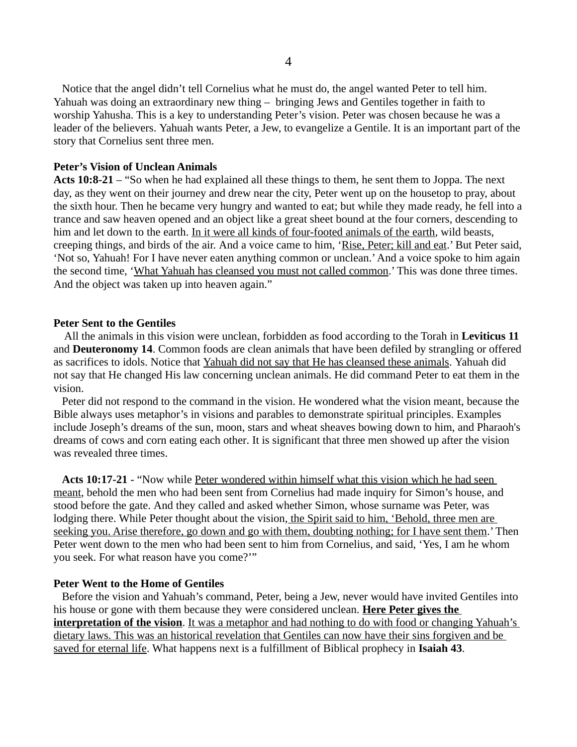Notice that the angel didn't tell Cornelius what he must do, the angel wanted Peter to tell him. Yahuah was doing an extraordinary new thing – bringing Jews and Gentiles together in faith to worship Yahusha. This is a key to understanding Peter's vision. Peter was chosen because he was a leader of the believers. Yahuah wants Peter, a Jew, to evangelize a Gentile. It is an important part of the story that Cornelius sent three men.

#### **Peter's Vision of Unclean Animals**

**Acts 10:8-21** – "So when he had explained all these things to them, he sent them to Joppa. The next day, as they went on their journey and drew near the city, Peter went up on the housetop to pray, about the sixth hour. Then he became very hungry and wanted to eat; but while they made ready, he fell into a trance and saw heaven opened and an object like a great sheet bound at the four corners, descending to him and let down to the earth. In it were all kinds of four-footed animals of the earth, wild beasts, creeping things, and birds of the air. And a voice came to him, 'Rise, Peter; kill and eat.' But Peter said, 'Not so, Yahuah! For I have never eaten anything common or unclean.' And a voice spoke to him again the second time, 'What Yahuah has cleansed you must not called common.' This was done three times. And the object was taken up into heaven again."

#### **Peter Sent to the Gentiles**

 All the animals in this vision were unclean, forbidden as food according to the Torah in **Leviticus 11** and **Deuteronomy 14**. Common foods are clean animals that have been defiled by strangling or offered as sacrifices to idols. Notice that Yahuah did not say that He has cleansed these animals. Yahuah did not say that He changed His law concerning unclean animals. He did command Peter to eat them in the vision.

 Peter did not respond to the command in the vision. He wondered what the vision meant, because the Bible always uses metaphor's in visions and parables to demonstrate spiritual principles. Examples include Joseph's dreams of the sun, moon, stars and wheat sheaves bowing down to him, and Pharaoh's dreams of cows and corn eating each other. It is significant that three men showed up after the vision was revealed three times.

 **Acts 10:17-21** - "Now while Peter wondered within himself what this vision which he had seen meant, behold the men who had been sent from Cornelius had made inquiry for Simon's house, and stood before the gate. And they called and asked whether Simon, whose surname was Peter, was lodging there. While Peter thought about the vision, the Spirit said to him, 'Behold, three men are seeking you. Arise therefore, go down and go with them, doubting nothing; for I have sent them.' Then Peter went down to the men who had been sent to him from Cornelius, and said, 'Yes, I am he whom you seek. For what reason have you come?'"

#### **Peter Went to the Home of Gentiles**

 Before the vision and Yahuah's command, Peter, being a Jew, never would have invited Gentiles into his house or gone with them because they were considered unclean. **Here Peter gives the interpretation of the vision.** It was a metaphor and had nothing to do with food or changing Yahuah's dietary laws. This was an historical revelation that Gentiles can now have their sins forgiven and be saved for eternal life. What happens next is a fulfillment of Biblical prophecy in **Isaiah 43**.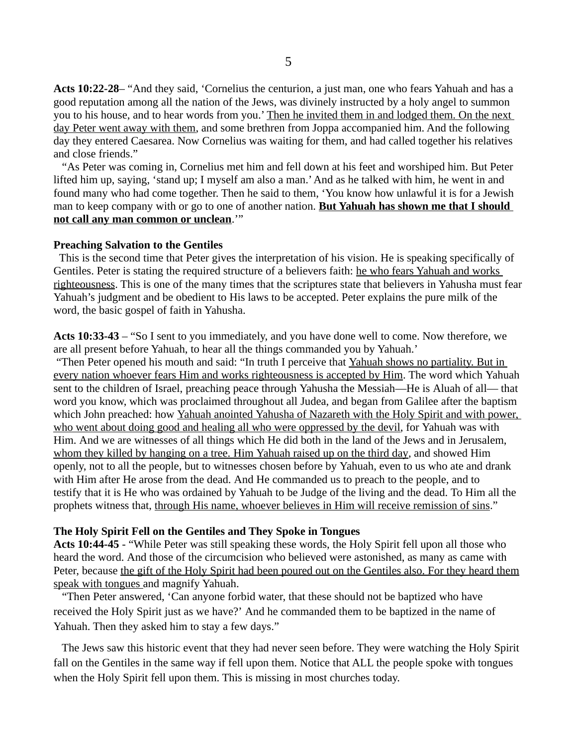**Acts 10:22-28**– "And they said, 'Cornelius the centurion, a just man, one who fears Yahuah and has a good reputation among all the nation of the Jews, was divinely instructed by a holy angel to summon you to his house, and to hear words from you.' Then he invited them in and lodged them. On the next day Peter went away with them, and some brethren from Joppa accompanied him. And the following day they entered Caesarea. Now Cornelius was waiting for them, and had called together his relatives and close friends."

 "As Peter was coming in, Cornelius met him and fell down at his feet and worshiped him. But Peter lifted him up, saying, 'stand up; I myself am also a man.' And as he talked with him, he went in and found many who had come together. Then he said to them, 'You know how unlawful it is for a Jewish man to keep company with or go to one of another nation. **But Yahuah has shown me that I should not call any man common or unclean**.'"

#### **Preaching Salvation to the Gentiles**

This is the second time that Peter gives the interpretation of his vision. He is speaking specifically of Gentiles. Peter is stating the required structure of a believers faith: he who fears Yahuah and works righteousness. This is one of the many times that the scriptures state that believers in Yahusha must fear Yahuah's judgment and be obedient to His laws to be accepted. Peter explains the pure milk of the word, the basic gospel of faith in Yahusha.

**Acts 10:33-43** – "So I sent to you immediately, and you have done well to come. Now therefore, we are all present before Yahuah, to hear all the things commanded you by Yahuah.'

 "Then Peter opened his mouth and said: "In truth I perceive that Yahuah shows no partiality. But in every nation whoever fears Him and works righteousness is accepted by Him. The word which Yahuah sent to the children of Israel, preaching peace through Yahusha the Messiah—He is Aluah of all— that word you know, which was proclaimed throughout all Judea, and began from Galilee after the baptism which John preached: how Yahuah anointed Yahusha of Nazareth with the Holy Spirit and with power, who went about doing good and healing all who were oppressed by the devil, for Yahuah was with Him. And we are witnesses of all things which He did both in the land of the Jews and in Jerusalem, whom they killed by hanging on a tree. Him Yahuah raised up on the third day, and showed Him openly, not to all the people, but to witnesses chosen before by Yahuah, even to us who ate and drank with Him after He arose from the dead. And He commanded us to preach to the people, and to testify that it is He who was ordained by Yahuah to be Judge of the living and the dead. To Him all the prophets witness that, through His name, whoever believes in Him will receive remission of sins."

#### **The Holy Spirit Fell on the Gentiles and They Spoke in Tongues**

**Acts 10:44-45** - "While Peter was still speaking these words, the Holy Spirit fell upon all those who heard the word. And those of the circumcision who believed were astonished, as many as came with Peter, because the gift of the Holy Spirit had been poured out on the Gentiles also. For they heard them speak with tongues and magnify Yahuah.

 "Then Peter answered, 'Can anyone forbid water, that these should not be baptized who have received the Holy Spirit just as we have?' And he commanded them to be baptized in the name of Yahuah. Then they asked him to stay a few days."

 The Jews saw this historic event that they had never seen before. They were watching the Holy Spirit fall on the Gentiles in the same way if fell upon them. Notice that ALL the people spoke with tongues when the Holy Spirit fell upon them. This is missing in most churches today.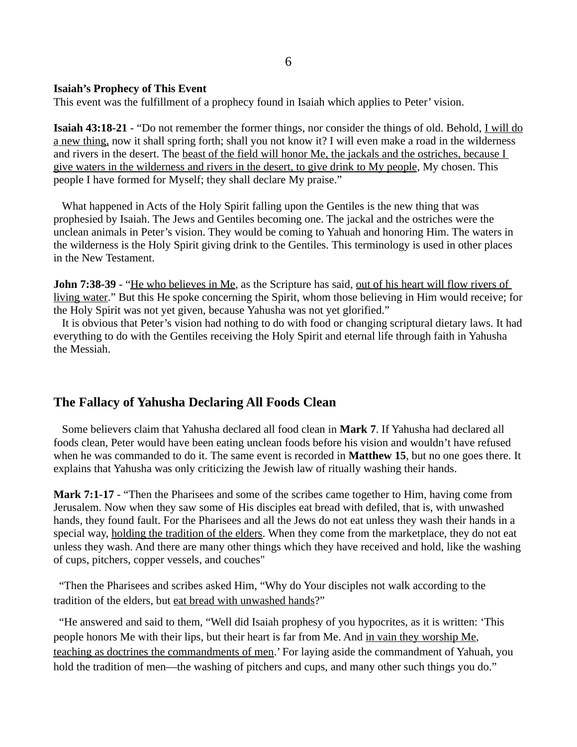### **Isaiah's Prophecy of This Event**

This event was the fulfillment of a prophecy found in Isaiah which applies to Peter' vision.

**Isaiah 43:18-21** - "Do not remember the former things, nor consider the things of old. Behold, I will do a new thing, now it shall spring forth; shall you not know it? I will even make a road in the wilderness and rivers in the desert. The beast of the field will honor Me, the jackals and the ostriches, because I give waters in the wilderness and rivers in the desert, to give drink to My people, My chosen. This people I have formed for Myself; they shall declare My praise."

 What happened in Acts of the Holy Spirit falling upon the Gentiles is the new thing that was prophesied by Isaiah. The Jews and Gentiles becoming one. The jackal and the ostriches were the unclean animals in Peter's vision. They would be coming to Yahuah and honoring Him. The waters in the wilderness is the Holy Spirit giving drink to the Gentiles. This terminology is used in other places in the New Testament.

**John 7:38-39** - "He who believes in Me, as the Scripture has said, out of his heart will flow rivers of living water." But this He spoke concerning the Spirit, whom those believing in Him would receive; for the Holy Spirit was not yet given, because Yahusha was not yet glorified."

 It is obvious that Peter's vision had nothing to do with food or changing scriptural dietary laws. It had everything to do with the Gentiles receiving the Holy Spirit and eternal life through faith in Yahusha the Messiah.

### **The Fallacy of Yahusha Declaring All Foods Clean**

 Some believers claim that Yahusha declared all food clean in **Mark 7**. If Yahusha had declared all foods clean, Peter would have been eating unclean foods before his vision and wouldn't have refused when he was commanded to do it. The same event is recorded in **Matthew 15**, but no one goes there. It explains that Yahusha was only criticizing the Jewish law of ritually washing their hands.

**Mark 7:1-17** - "Then the Pharisees and some of the scribes came together to Him, having come from Jerusalem. Now when they saw some of His disciples eat bread with defiled, that is, with unwashed hands, they found fault. For the Pharisees and all the Jews do not eat unless they wash their hands in a special way, holding the tradition of the elders. When they come from the marketplace, they do not eat unless they wash. And there are many other things which they have received and hold, like the washing of cups, pitchers, copper vessels, and couches"

"Then the Pharisees and scribes asked Him, "Why do Your disciples not walk according to the tradition of the elders, but eat bread with unwashed hands?"

 "He answered and said to them, "Well did Isaiah prophesy of you hypocrites, as it is written: 'This people honors Me with their lips, but their heart is far from Me. And in vain they worship Me, teaching as doctrines the commandments of men.' For laying aside the commandment of Yahuah, you hold the tradition of men—the washing of pitchers and cups, and many other such things you do."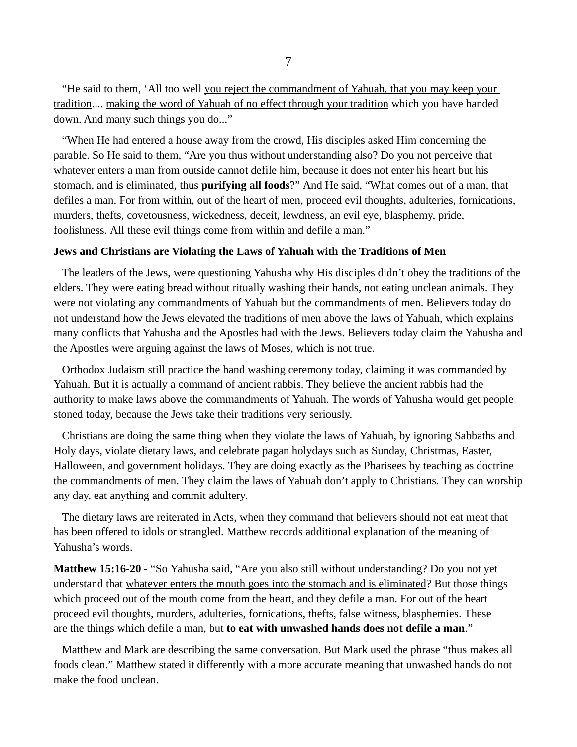"He said to them, 'All too well you reject the commandment of Yahuah, that you may keep your tradition.... making the word of Yahuah of no effect through your tradition which you have handed down. And many such things you do..."

 "When He had entered a house away from the crowd, His disciples asked Him concerning the parable. So He said to them, "Are you thus without understanding also? Do you not perceive that whatever enters a man from outside cannot defile him, because it does not enter his heart but his stomach, and is eliminated, thus **purifying all foods**?" And He said, "What comes out of a man, that defiles a man. For from within, out of the heart of men, proceed evil thoughts, adulteries, fornications, murders, thefts, covetousness, wickedness, deceit, lewdness, an evil eye, blasphemy, pride, foolishness. All these evil things come from within and defile a man."

### **Jews and Christians are Violating the Laws of Yahuah with the Traditions of Men**

 The leaders of the Jews, were questioning Yahusha why His disciples didn't obey the traditions of the elders. They were eating bread without ritually washing their hands, not eating unclean animals. They were not violating any commandments of Yahuah but the commandments of men. Believers today do not understand how the Jews elevated the traditions of men above the laws of Yahuah, which explains many conflicts that Yahusha and the Apostles had with the Jews. Believers today claim the Yahusha and the Apostles were arguing against the laws of Moses, which is not true.

 Orthodox Judaism still practice the hand washing ceremony today, claiming it was commanded by Yahuah. But it is actually a command of ancient rabbis. They believe the ancient rabbis had the authority to make laws above the commandments of Yahuah. The words of Yahusha would get people stoned today, because the Jews take their traditions very seriously.

 Christians are doing the same thing when they violate the laws of Yahuah, by ignoring Sabbaths and Holy days, violate dietary laws, and celebrate pagan holydays such as Sunday, Christmas, Easter, Halloween, and government holidays. They are doing exactly as the Pharisees by teaching as doctrine the commandments of men. They claim the laws of Yahuah don't apply to Christians. They can worship any day, eat anything and commit adultery.

 The dietary laws are reiterated in Acts, when they command that believers should not eat meat that has been offered to idols or strangled. Matthew records additional explanation of the meaning of Yahusha's words.

**Matthew 15:16-20** - "So Yahusha said, "Are you also still without understanding? Do you not yet understand that whatever enters the mouth goes into the stomach and is eliminated? But those things which proceed out of the mouth come from the heart, and they defile a man. For out of the heart proceed evil thoughts, murders, adulteries, fornications, thefts, false witness, blasphemies. These are the things which defile a man, but **to eat with unwashed hands does not defile a man**."

 Matthew and Mark are describing the same conversation. But Mark used the phrase "thus makes all foods clean." Matthew stated it differently with a more accurate meaning that unwashed hands do not make the food unclean.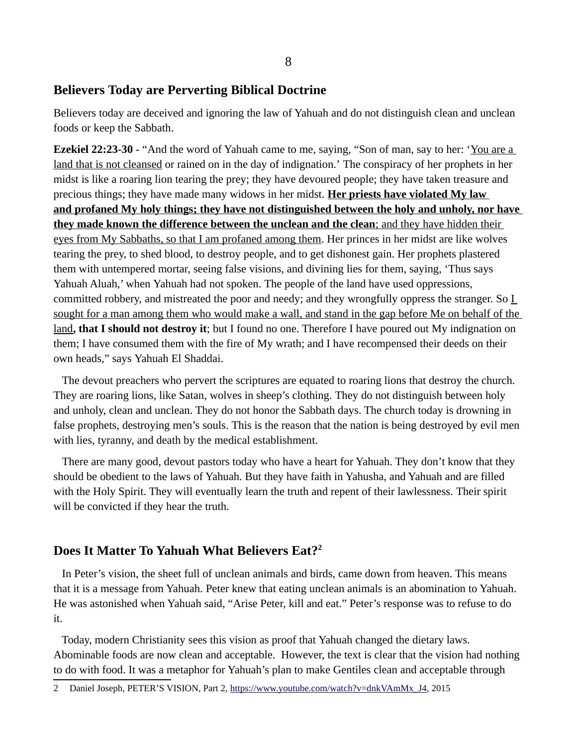# **Believers Today are Perverting Biblical Doctrine**

Believers today are deceived and ignoring the law of Yahuah and do not distinguish clean and unclean foods or keep the Sabbath.

**Ezekiel 22:23-30** - "And the word of Yahuah came to me, saying, "Son of man, say to her: 'You are a land that is not cleansed or rained on in the day of indignation.' The conspiracy of her prophets in her midst is like a roaring lion tearing the prey; they have devoured people; they have taken treasure and precious things; they have made many widows in her midst. **Her priests have violated My law and profaned My holy things; they have not distinguished between the holy and unholy, nor have they made known the difference between the unclean and the clean** ; and they have hidden their eyes from My Sabbaths, so that I am profaned among them. Her princes in her midst are like wolves tearing the prey, to shed blood, to destroy people, and to get dishonest gain. Her prophets plastered them with untempered mortar, seeing false visions, and divining lies for them, saying, 'Thus says Yahuah Aluah,' when Yahuah had not spoken. The people of the land have used oppressions, committed robbery, and mistreated the poor and needy; and they wrongfully oppress the stranger. So  $\underline{I}$  sought for a man among them who would make a wall, and stand in the gap before Me on behalf of the land**, that I should not destroy it**; but I found no one. Therefore I have poured out My indignation on them; I have consumed them with the fire of My wrath; and I have recompensed their deeds on their own heads," says Yahuah El Shaddai.

 The devout preachers who pervert the scriptures are equated to roaring lions that destroy the church. They are roaring lions, like Satan, wolves in sheep's clothing. They do not distinguish between holy and unholy, clean and unclean. They do not honor the Sabbath days. The church today is drowning in false prophets, destroying men's souls. This is the reason that the nation is being destroyed by evil men with lies, tyranny, and death by the medical establishment.

 There are many good, devout pastors today who have a heart for Yahuah. They don't know that they should be obedient to the laws of Yahuah. But they have faith in Yahusha, and Yahuah and are filled with the Holy Spirit. They will eventually learn the truth and repent of their lawlessness. Their spirit will be convicted if they hear the truth.

# **Does It Matter To Yahuah What Believers Eat?[2](#page-7-0)**

 In Peter's vision, the sheet full of unclean animals and birds, came down from heaven. This means that it is a message from Yahuah. Peter knew that eating unclean animals is an abomination to Yahuah. He was astonished when Yahuah said, "Arise Peter, kill and eat." Peter's response was to refuse to do it.

 Today, modern Christianity sees this vision as proof that Yahuah changed the dietary laws. Abominable foods are now clean and acceptable. However, the text is clear that the vision had nothing to do with food. It was a metaphor for Yahuah's plan to make Gentiles clean and acceptable through

<span id="page-7-0"></span><sup>2</sup> Daniel Joseph, PETER'S VISION, Part 2, [https://www.youtube.com/watch?v=dnkVAmMx\\_J4](https://www.youtube.com/watch?v=dnkVAmMx_J4), 2015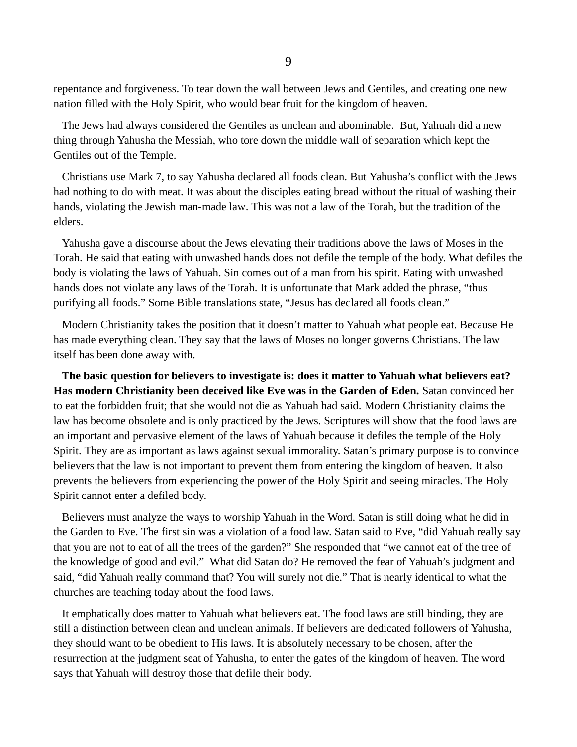repentance and forgiveness. To tear down the wall between Jews and Gentiles, and creating one new nation filled with the Holy Spirit, who would bear fruit for the kingdom of heaven.

 The Jews had always considered the Gentiles as unclean and abominable. But, Yahuah did a new thing through Yahusha the Messiah, who tore down the middle wall of separation which kept the Gentiles out of the Temple.

 Christians use Mark 7, to say Yahusha declared all foods clean. But Yahusha's conflict with the Jews had nothing to do with meat. It was about the disciples eating bread without the ritual of washing their hands, violating the Jewish man-made law. This was not a law of the Torah, but the tradition of the elders.

 Yahusha gave a discourse about the Jews elevating their traditions above the laws of Moses in the Torah. He said that eating with unwashed hands does not defile the temple of the body. What defiles the body is violating the laws of Yahuah. Sin comes out of a man from his spirit. Eating with unwashed hands does not violate any laws of the Torah. It is unfortunate that Mark added the phrase, "thus purifying all foods." Some Bible translations state, "Jesus has declared all foods clean."

 Modern Christianity takes the position that it doesn't matter to Yahuah what people eat. Because He has made everything clean. They say that the laws of Moses no longer governs Christians. The law itself has been done away with.

 **The basic question for believers to investigate is: does it matter to Yahuah what believers eat? Has modern Christianity been deceived like Eve was in the Garden of Eden.** Satan convinced her to eat the forbidden fruit; that she would not die as Yahuah had said. Modern Christianity claims the law has become obsolete and is only practiced by the Jews. Scriptures will show that the food laws are an important and pervasive element of the laws of Yahuah because it defiles the temple of the Holy Spirit. They are as important as laws against sexual immorality. Satan's primary purpose is to convince believers that the law is not important to prevent them from entering the kingdom of heaven. It also prevents the believers from experiencing the power of the Holy Spirit and seeing miracles. The Holy Spirit cannot enter a defiled body.

 Believers must analyze the ways to worship Yahuah in the Word. Satan is still doing what he did in the Garden to Eve. The first sin was a violation of a food law. Satan said to Eve, "did Yahuah really say that you are not to eat of all the trees of the garden?" She responded that "we cannot eat of the tree of the knowledge of good and evil." What did Satan do? He removed the fear of Yahuah's judgment and said, "did Yahuah really command that? You will surely not die." That is nearly identical to what the churches are teaching today about the food laws.

 It emphatically does matter to Yahuah what believers eat. The food laws are still binding, they are still a distinction between clean and unclean animals. If believers are dedicated followers of Yahusha, they should want to be obedient to His laws. It is absolutely necessary to be chosen, after the resurrection at the judgment seat of Yahusha, to enter the gates of the kingdom of heaven. The word says that Yahuah will destroy those that defile their body.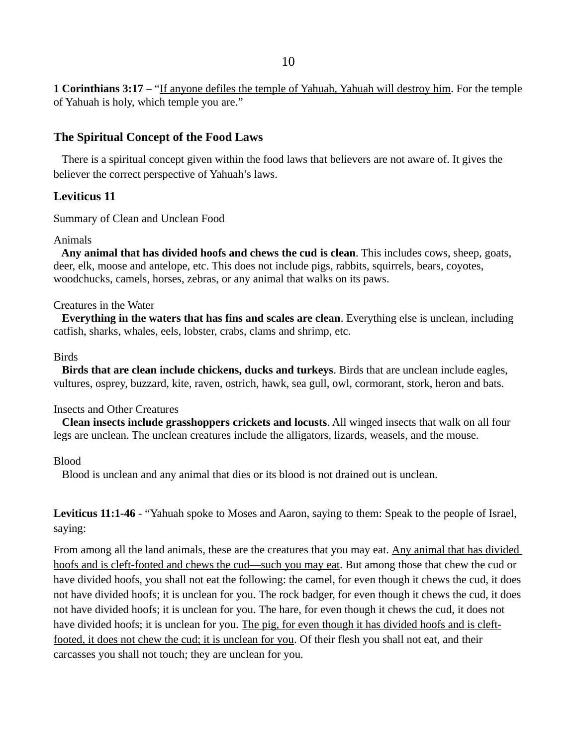**1 Corinthians 3:17** – "If anyone defiles the temple of Yahuah, Yahuah will destroy him. For the temple of Yahuah is holy, which temple you are."

## **The Spiritual Concept of the Food Laws**

 There is a spiritual concept given within the food laws that believers are not aware of. It gives the believer the correct perspective of Yahuah's laws.

# **Leviticus 11**

Summary of Clean and Unclean Food

### Animals

 **Any animal that has divided hoofs and chews the cud is clean**. This includes cows, sheep, goats, deer, elk, moose and antelope, etc. This does not include pigs, rabbits, squirrels, bears, coyotes, woodchucks, camels, horses, zebras, or any animal that walks on its paws.

### Creatures in the Water

 **Everything in the waters that has fins and scales are clean**. Everything else is unclean, including catfish, sharks, whales, eels, lobster, crabs, clams and shrimp, etc.

### Birds

 **Birds that are clean include chickens, ducks and turkeys**. Birds that are unclean include eagles, vultures, osprey, buzzard, kite, raven, ostrich, hawk, sea gull, owl, cormorant, stork, heron and bats.

### Insects and Other Creatures

 **Clean insects include grasshoppers crickets and locusts**. All winged insects that walk on all four legs are unclean. The unclean creatures include the alligators, lizards, weasels, and the mouse.

### Blood

Blood is unclean and any animal that dies or its blood is not drained out is unclean.

**Leviticus 11:1-46** - "Yahuah spoke to Moses and Aaron, saying to them: Speak to the people of Israel, saying:

From among all the land animals, these are the creatures that you may eat. Any animal that has divided hoofs and is cleft-footed and chews the cud—such you may eat. But among those that chew the cud or have divided hoofs, you shall not eat the following: the camel, for even though it chews the cud, it does not have divided hoofs; it is unclean for you. The rock badger, for even though it chews the cud, it does not have divided hoofs; it is unclean for you. The hare, for even though it chews the cud, it does not have divided hoofs; it is unclean for you. The pig, for even though it has divided hoofs and is cleftfooted, it does not chew the cud; it is unclean for you. Of their flesh you shall not eat, and their carcasses you shall not touch; they are unclean for you.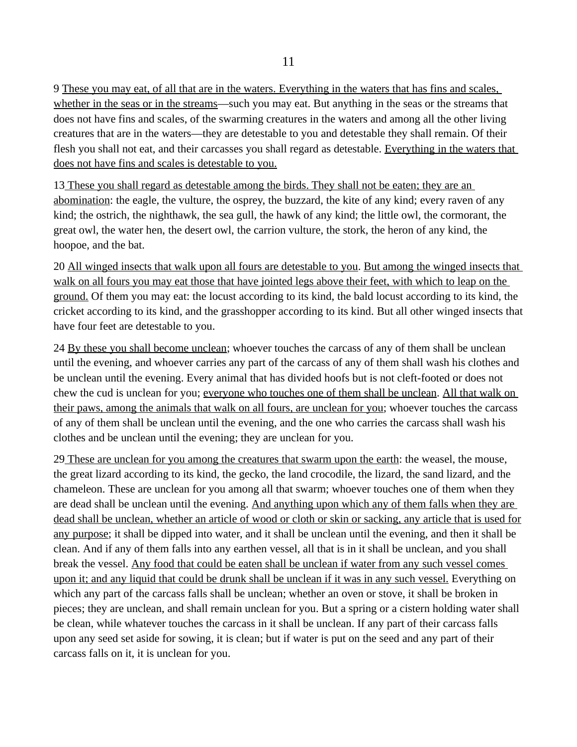9 These you may eat, of all that are in the waters. Everything in the waters that has fins and scales, whether in the seas or in the streams—such you may eat. But anything in the seas or the streams that does not have fins and scales, of the swarming creatures in the waters and among all the other living creatures that are in the waters—they are detestable to you and detestable they shall remain. Of their flesh you shall not eat, and their carcasses you shall regard as detestable. Everything in the waters that does not have fins and scales is detestable to you.

13 These you shall regard as detestable among the birds. They shall not be eaten; they are an abomination: the eagle, the vulture, the osprey, the buzzard, the kite of any kind; every raven of any kind; the ostrich, the nighthawk, the sea gull, the hawk of any kind; the little owl, the cormorant, the great owl, the water hen, the desert owl, the carrion vulture, the stork, the heron of any kind, the hoopoe, and the bat.

20 All winged insects that walk upon all fours are detestable to you. But among the winged insects that walk on all fours you may eat those that have jointed legs above their feet, with which to leap on the ground. Of them you may eat: the locust according to its kind, the bald locust according to its kind, the cricket according to its kind, and the grasshopper according to its kind. But all other winged insects that have four feet are detestable to you.

24 By these you shall become unclean; whoever touches the carcass of any of them shall be unclean until the evening, and whoever carries any part of the carcass of any of them shall wash his clothes and be unclean until the evening. Every animal that has divided hoofs but is not cleft-footed or does not chew the cud is unclean for you; everyone who touches one of them shall be unclean. All that walk on their paws, among the animals that walk on all fours, are unclean for you; whoever touches the carcass of any of them shall be unclean until the evening, and the one who carries the carcass shall wash his clothes and be unclean until the evening; they are unclean for you.

29 These are unclean for you among the creatures that swarm upon the earth: the weasel, the mouse, the great lizard according to its kind, the gecko, the land crocodile, the lizard, the sand lizard, and the chameleon. These are unclean for you among all that swarm; whoever touches one of them when they are dead shall be unclean until the evening. And anything upon which any of them falls when they are dead shall be unclean, whether an article of wood or cloth or skin or sacking, any article that is used for any purpose; it shall be dipped into water, and it shall be unclean until the evening, and then it shall be clean. And if any of them falls into any earthen vessel, all that is in it shall be unclean, and you shall break the vessel. Any food that could be eaten shall be unclean if water from any such vessel comes upon it; and any liquid that could be drunk shall be unclean if it was in any such vessel. Everything on which any part of the carcass falls shall be unclean; whether an oven or stove, it shall be broken in pieces; they are unclean, and shall remain unclean for you. But a spring or a cistern holding water shall be clean, while whatever touches the carcass in it shall be unclean. If any part of their carcass falls upon any seed set aside for sowing, it is clean; but if water is put on the seed and any part of their carcass falls on it, it is unclean for you.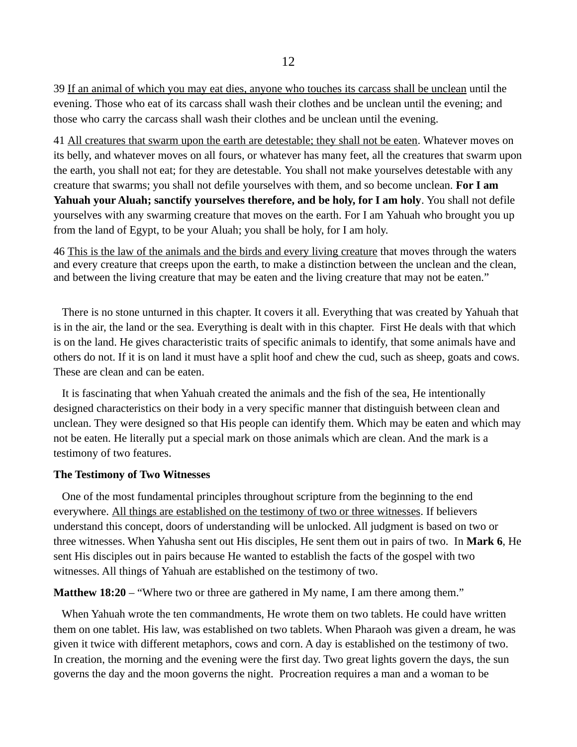39 If an animal of which you may eat dies, anyone who touches its carcass shall be unclean until the evening. Those who eat of its carcass shall wash their clothes and be unclean until the evening; and those who carry the carcass shall wash their clothes and be unclean until the evening.

41 All creatures that swarm upon the earth are detestable; they shall not be eaten. Whatever moves on its belly, and whatever moves on all fours, or whatever has many feet, all the creatures that swarm upon the earth, you shall not eat; for they are detestable. You shall not make yourselves detestable with any creature that swarms; you shall not defile yourselves with them, and so become unclean. **For I am Yahuah your Aluah; sanctify yourselves therefore, and be holy, for I am holy**. You shall not defile yourselves with any swarming creature that moves on the earth. For I am Yahuah who brought you up from the land of Egypt, to be your Aluah; you shall be holy, for I am holy.

46 This is the law of the animals and the birds and every living creature that moves through the waters and every creature that creeps upon the earth, to make a distinction between the unclean and the clean, and between the living creature that may be eaten and the living creature that may not be eaten."

 There is no stone unturned in this chapter. It covers it all. Everything that was created by Yahuah that is in the air, the land or the sea. Everything is dealt with in this chapter. First He deals with that which is on the land. He gives characteristic traits of specific animals to identify, that some animals have and others do not. If it is on land it must have a split hoof and chew the cud, such as sheep, goats and cows. These are clean and can be eaten.

 It is fascinating that when Yahuah created the animals and the fish of the sea, He intentionally designed characteristics on their body in a very specific manner that distinguish between clean and unclean. They were designed so that His people can identify them. Which may be eaten and which may not be eaten. He literally put a special mark on those animals which are clean. And the mark is a testimony of two features.

### **The Testimony of Two Witnesses**

 One of the most fundamental principles throughout scripture from the beginning to the end everywhere. All things are established on the testimony of two or three witnesses. If believers understand this concept, doors of understanding will be unlocked. All judgment is based on two or three witnesses. When Yahusha sent out His disciples, He sent them out in pairs of two. In **Mark 6**, He sent His disciples out in pairs because He wanted to establish the facts of the gospel with two witnesses. All things of Yahuah are established on the testimony of two.

### **Matthew 18:20** – "Where two or three are gathered in My name, I am there among them."

 When Yahuah wrote the ten commandments, He wrote them on two tablets. He could have written them on one tablet. His law, was established on two tablets. When Pharaoh was given a dream, he was given it twice with different metaphors, cows and corn. A day is established on the testimony of two. In creation, the morning and the evening were the first day. Two great lights govern the days, the sun governs the day and the moon governs the night. Procreation requires a man and a woman to be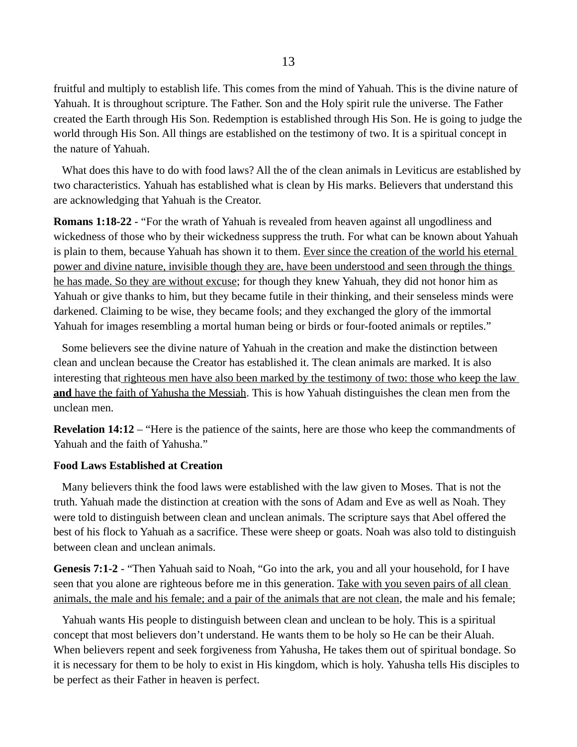fruitful and multiply to establish life. This comes from the mind of Yahuah. This is the divine nature of Yahuah. It is throughout scripture. The Father. Son and the Holy spirit rule the universe. The Father created the Earth through His Son. Redemption is established through His Son. He is going to judge the world through His Son. All things are established on the testimony of two. It is a spiritual concept in the nature of Yahuah.

 What does this have to do with food laws? All the of the clean animals in Leviticus are established by two characteristics. Yahuah has established what is clean by His marks. Believers that understand this are acknowledging that Yahuah is the Creator.

**Romans 1:18-22** - "For the wrath of Yahuah is revealed from heaven against all ungodliness and wickedness of those who by their wickedness suppress the truth. For what can be known about Yahuah is plain to them, because Yahuah has shown it to them. Ever since the creation of the world his eternal power and divine nature, invisible though they are, have been understood and seen through the things he has made. So they are without excuse; for though they knew Yahuah, they did not honor him as Yahuah or give thanks to him, but they became futile in their thinking, and their senseless minds were darkened. Claiming to be wise, they became fools; and they exchanged the glory of the immortal Yahuah for images resembling a mortal human being or birds or four-footed animals or reptiles."

 Some believers see the divine nature of Yahuah in the creation and make the distinction between clean and unclean because the Creator has established it. The clean animals are marked. It is also interesting that righteous men have also been marked by the testimony of two: those who keep the law **and** have the faith of Yahusha the Messiah. This is how Yahuah distinguishes the clean men from the unclean men.

**Revelation 14:12** – "Here is the patience of the saints, here are those who keep the commandments of Yahuah and the faith of Yahusha."

### **Food Laws Established at Creation**

 Many believers think the food laws were established with the law given to Moses. That is not the truth. Yahuah made the distinction at creation with the sons of Adam and Eve as well as Noah. They were told to distinguish between clean and unclean animals. The scripture says that Abel offered the best of his flock to Yahuah as a sacrifice. These were sheep or goats. Noah was also told to distinguish between clean and unclean animals.

**Genesis 7:1-2** - "Then Yahuah said to Noah, "Go into the ark, you and all your household, for I have seen that you alone are righteous before me in this generation. Take with you seven pairs of all clean animals, the male and his female; and a pair of the animals that are not clean, the male and his female;

 Yahuah wants His people to distinguish between clean and unclean to be holy. This is a spiritual concept that most believers don't understand. He wants them to be holy so He can be their Aluah. When believers repent and seek forgiveness from Yahusha, He takes them out of spiritual bondage. So it is necessary for them to be holy to exist in His kingdom, which is holy. Yahusha tells His disciples to be perfect as their Father in heaven is perfect.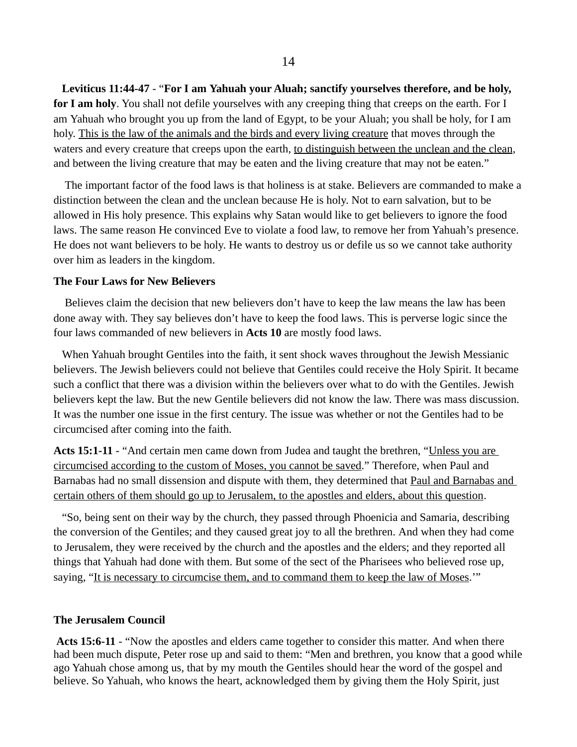**Leviticus 11:44-47** - "**For I am Yahuah your Aluah; sanctify yourselves therefore, and be holy,**  for I am holy. You shall not defile yourselves with any creeping thing that creeps on the earth. For I am Yahuah who brought you up from the land of Egypt, to be your Aluah; you shall be holy, for I am holy. This is the law of the animals and the birds and every living creature that moves through the waters and every creature that creeps upon the earth, to distinguish between the unclean and the clean, and between the living creature that may be eaten and the living creature that may not be eaten."

 The important factor of the food laws is that holiness is at stake. Believers are commanded to make a distinction between the clean and the unclean because He is holy. Not to earn salvation, but to be allowed in His holy presence. This explains why Satan would like to get believers to ignore the food laws. The same reason He convinced Eve to violate a food law, to remove her from Yahuah's presence. He does not want believers to be holy. He wants to destroy us or defile us so we cannot take authority over him as leaders in the kingdom.

### **The Four Laws for New Believers**

 Believes claim the decision that new believers don't have to keep the law means the law has been done away with. They say believes don't have to keep the food laws. This is perverse logic since the four laws commanded of new believers in **Acts 10** are mostly food laws.

 When Yahuah brought Gentiles into the faith, it sent shock waves throughout the Jewish Messianic believers. The Jewish believers could not believe that Gentiles could receive the Holy Spirit. It became such a conflict that there was a division within the believers over what to do with the Gentiles. Jewish believers kept the law. But the new Gentile believers did not know the law. There was mass discussion. It was the number one issue in the first century. The issue was whether or not the Gentiles had to be circumcised after coming into the faith.

Acts 15:1-11 - "And certain men came down from Judea and taught the brethren, "*Unless you are* circumcised according to the custom of Moses, you cannot be saved." Therefore, when Paul and Barnabas had no small dissension and dispute with them, they determined that Paul and Barnabas and certain others of them should go up to Jerusalem, to the apostles and elders, about this question.

 "So, being sent on their way by the church, they passed through Phoenicia and Samaria, describing the conversion of the Gentiles; and they caused great joy to all the brethren. And when they had come to Jerusalem, they were received by the church and the apostles and the elders; and they reported all things that Yahuah had done with them. But some of the sect of the Pharisees who believed rose up, saying, "It is necessary to circumcise them, and to command them to keep the law of Moses.""

### **The Jerusalem Council**

**Acts 15:6-11** - "Now the apostles and elders came together to consider this matter. And when there had been much dispute, Peter rose up and said to them: "Men and brethren, you know that a good while ago Yahuah chose among us, that by my mouth the Gentiles should hear the word of the gospel and believe. So Yahuah, who knows the heart, acknowledged them by giving them the Holy Spirit, just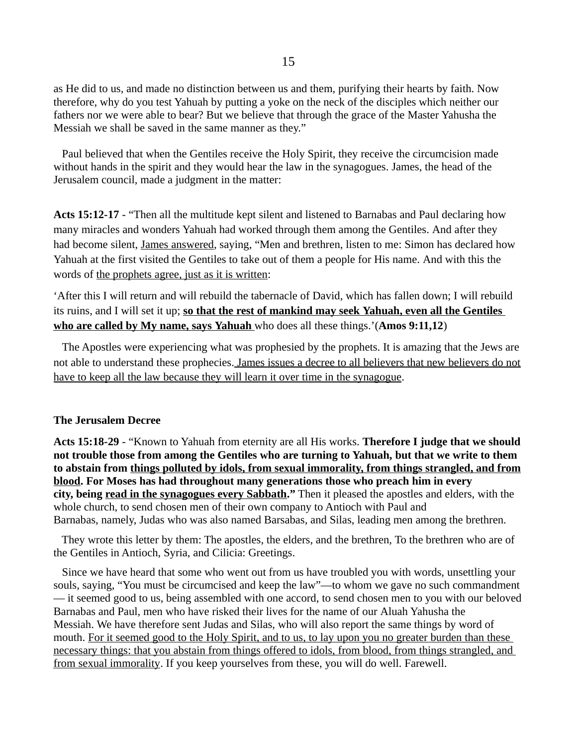as He did to us, and made no distinction between us and them, purifying their hearts by faith. Now therefore, why do you test Yahuah by putting a yoke on the neck of the disciples which neither our fathers nor we were able to bear? But we believe that through the grace of the Master Yahusha the Messiah we shall be saved in the same manner as they."

 Paul believed that when the Gentiles receive the Holy Spirit, they receive the circumcision made without hands in the spirit and they would hear the law in the synagogues. James, the head of the Jerusalem council, made a judgment in the matter:

**Acts 15:12-17** - "Then all the multitude kept silent and listened to Barnabas and Paul declaring how many miracles and wonders Yahuah had worked through them among the Gentiles. And after they had become silent, James answered, saying, "Men and brethren, listen to me: Simon has declared how Yahuah at the first visited the Gentiles to take out of them a people for His name. And with this the words of the prophets agree, just as it is written:

'After this I will return and will rebuild the tabernacle of David, which has fallen down; I will rebuild its ruins, and I will set it up; so that the rest of mankind may seek Yahuah, even all the Gentiles  **who are called by My name, says Yahuah** who does all these things.'(Amos 9:11,12)

 The Apostles were experiencing what was prophesied by the prophets. It is amazing that the Jews are not able to understand these prophecies. James issues a decree to all believers that new believers do not have to keep all the law because they will learn it over time in the synagogue.

### **The Jerusalem Decree**

**Acts 15:18-29** - "Known to Yahuah from eternity are all His works. **Therefore I judge that we should not trouble those from among the Gentiles who are turning to Yahuah, but that we write to them to abstain from things polluted by idols, from sexual immorality, from things strangled, and from blood. For Moses has had throughout many generations those who preach him in every city, being read in the synagogues every Sabbath."** Then it pleased the apostles and elders, with the whole church, to send chosen men of their own company to Antioch with Paul and Barnabas, namely, Judas who was also named Barsabas, and Silas, leading men among the brethren.

 They wrote this letter by them: The apostles, the elders, and the brethren, To the brethren who are of the Gentiles in Antioch, Syria, and Cilicia: Greetings.

 Since we have heard that some who went out from us have troubled you with words, unsettling your souls, saying, "You must be circumcised and keep the law"—to whom we gave no such commandment — it seemed good to us, being assembled with one accord, to send chosen men to you with our beloved Barnabas and Paul, men who have risked their lives for the name of our Aluah Yahusha the Messiah. We have therefore sent Judas and Silas, who will also report the same things by word of mouth. For it seemed good to the Holy Spirit, and to us, to lay upon you no greater burden than these necessary things: that you abstain from things offered to idols, from blood, from things strangled, and from sexual immorality. If you keep yourselves from these, you will do well. Farewell.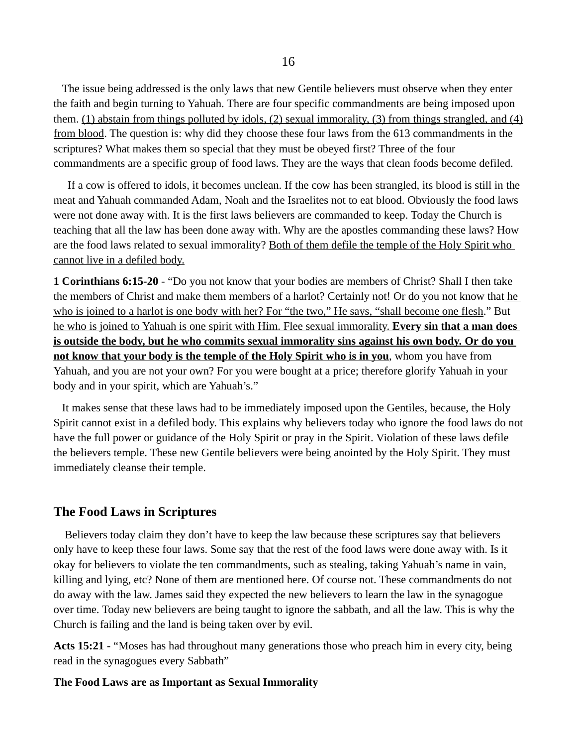The issue being addressed is the only laws that new Gentile believers must observe when they enter the faith and begin turning to Yahuah. There are four specific commandments are being imposed upon them. (1) abstain from things polluted by idols, (2) sexual immorality, (3) from things strangled, and (4) from blood. The question is: why did they choose these four laws from the 613 commandments in the scriptures? What makes them so special that they must be obeyed first? Three of the four commandments are a specific group of food laws. They are the ways that clean foods become defiled.

 If a cow is offered to idols, it becomes unclean. If the cow has been strangled, its blood is still in the meat and Yahuah commanded Adam, Noah and the Israelites not to eat blood. Obviously the food laws were not done away with. It is the first laws believers are commanded to keep. Today the Church is teaching that all the law has been done away with. Why are the apostles commanding these laws? How are the food laws related to sexual immorality? Both of them defile the temple of the Holy Spirit who cannot live in a defiled body.

**1 Corinthians 6:15-20** - "Do you not know that your bodies are members of Christ? Shall I then take the members of Christ and make them members of a harlot? Certainly not! Or do you not know that he who is joined to a harlot is one body with her? For "the two," He says, "shall become one flesh." But he who is joined to Yahuah is one spirit with Him. Flee sexual immorality. **Every sin that a man does is outside the body, but he who commits sexual immorality sins against his own body. Or do you not know that your body is the temple of the Holy Spirit who is in you**, whom you have from Yahuah, and you are not your own? For you were bought at a price; therefore glorify Yahuah in your body and in your spirit, which are Yahuah's."

 It makes sense that these laws had to be immediately imposed upon the Gentiles, because, the Holy Spirit cannot exist in a defiled body. This explains why believers today who ignore the food laws do not have the full power or guidance of the Holy Spirit or pray in the Spirit. Violation of these laws defile the believers temple. These new Gentile believers were being anointed by the Holy Spirit. They must immediately cleanse their temple.

### **The Food Laws in Scriptures**

 Believers today claim they don't have to keep the law because these scriptures say that believers only have to keep these four laws. Some say that the rest of the food laws were done away with. Is it okay for believers to violate the ten commandments, such as stealing, taking Yahuah's name in vain, killing and lying, etc? None of them are mentioned here. Of course not. These commandments do not do away with the law. James said they expected the new believers to learn the law in the synagogue over time. Today new believers are being taught to ignore the sabbath, and all the law. This is why the Church is failing and the land is being taken over by evil.

**Acts 15:21** - "Moses has had throughout many generations those who preach him in every city, being read in the synagogues every Sabbath"

### **The Food Laws are as Important as Sexual Immorality**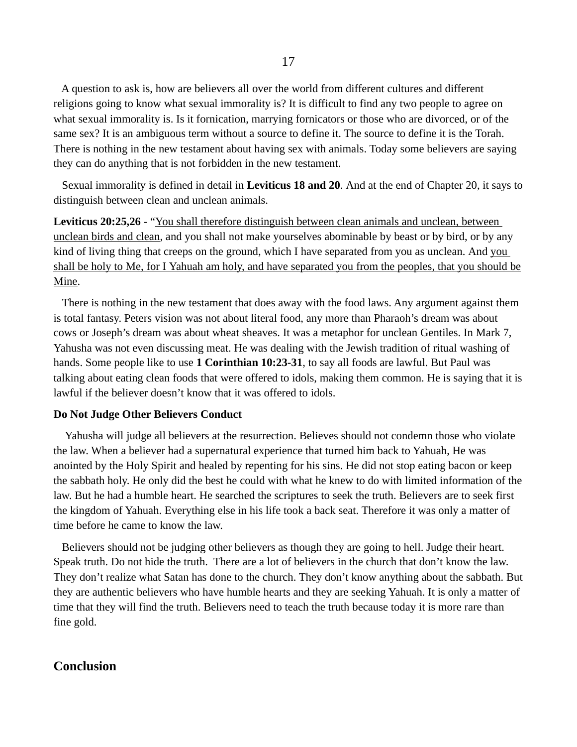A question to ask is, how are believers all over the world from different cultures and different religions going to know what sexual immorality is? It is difficult to find any two people to agree on what sexual immorality is. Is it fornication, marrying fornicators or those who are divorced, or of the same sex? It is an ambiguous term without a source to define it. The source to define it is the Torah. There is nothing in the new testament about having sex with animals. Today some believers are saying they can do anything that is not forbidden in the new testament.

 Sexual immorality is defined in detail in **Leviticus 18 and 20**. And at the end of Chapter 20, it says to distinguish between clean and unclean animals.

**Leviticus 20:25,26** - "You shall therefore distinguish between clean animals and unclean, between unclean birds and clean, and you shall not make yourselves abominable by beast or by bird, or by any kind of living thing that creeps on the ground, which I have separated from you as unclean. And you shall be holy to Me, for I Yahuah am holy, and have separated you from the peoples, that you should be Mine.

 There is nothing in the new testament that does away with the food laws. Any argument against them is total fantasy. Peters vision was not about literal food, any more than Pharaoh's dream was about cows or Joseph's dream was about wheat sheaves. It was a metaphor for unclean Gentiles. In Mark 7, Yahusha was not even discussing meat. He was dealing with the Jewish tradition of ritual washing of hands. Some people like to use **1 Corinthian 10:23-31**, to say all foods are lawful. But Paul was talking about eating clean foods that were offered to idols, making them common. He is saying that it is lawful if the believer doesn't know that it was offered to idols.

#### **Do Not Judge Other Believers Conduct**

 Yahusha will judge all believers at the resurrection. Believes should not condemn those who violate the law. When a believer had a supernatural experience that turned him back to Yahuah, He was anointed by the Holy Spirit and healed by repenting for his sins. He did not stop eating bacon or keep the sabbath holy. He only did the best he could with what he knew to do with limited information of the law. But he had a humble heart. He searched the scriptures to seek the truth. Believers are to seek first the kingdom of Yahuah. Everything else in his life took a back seat. Therefore it was only a matter of time before he came to know the law.

 Believers should not be judging other believers as though they are going to hell. Judge their heart. Speak truth. Do not hide the truth. There are a lot of believers in the church that don't know the law. They don't realize what Satan has done to the church. They don't know anything about the sabbath. But they are authentic believers who have humble hearts and they are seeking Yahuah. It is only a matter of time that they will find the truth. Believers need to teach the truth because today it is more rare than fine gold.

### **Conclusion**